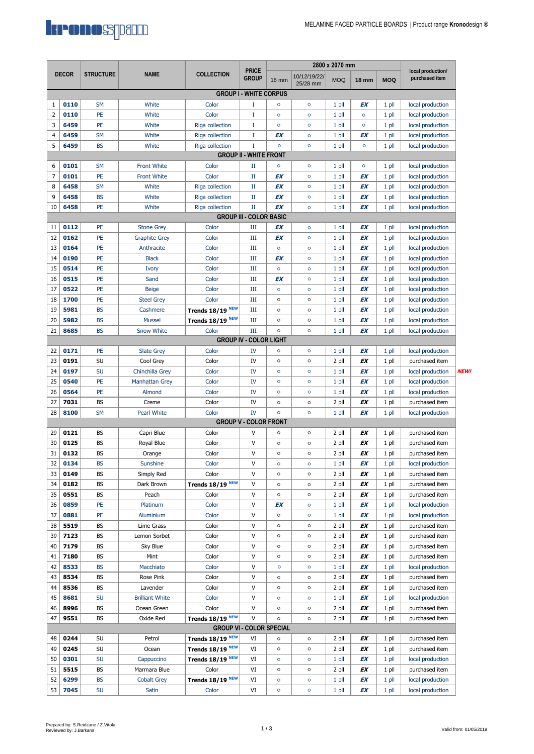

| <b>DECOR</b>                    |                                |                  | <b>NAME</b>            |                             | <b>PRICE</b>                  | 2800 x 2070 mm |                          |            |              |            | local production/ |            |
|---------------------------------|--------------------------------|------------------|------------------------|-----------------------------|-------------------------------|----------------|--------------------------|------------|--------------|------------|-------------------|------------|
|                                 |                                | <b>STRUCTURE</b> |                        | <b>COLLECTION</b>           | <b>GROUP</b>                  | <b>16 mm</b>   | 10/12/19/22/<br>25/28 mm | <b>MOQ</b> | <b>18 mm</b> | <b>MOQ</b> | purchased item    |            |
|                                 |                                |                  |                        |                             | <b>GROUP I - WHITE CORPUS</b> |                |                          |            |              |            |                   |            |
| 1                               | 0110                           | <b>SM</b>        | White                  | Color                       | I                             | $\circ$        | $\circ$                  | $1$ pll    | EΧ           | $1$ pll    | local production  |            |
| 2                               | 0110                           | PE               | White                  | Color                       | I                             | $\circ$        | $\circ$                  | $1$ pll    | $\circ$      | 1 pll      | local production  |            |
| 3                               | 6459                           | PE               | White                  | Riga collection             | I                             | $\circ$        | $\circ$                  | $1$ pll    | $\circ$      | 1 pll      | local production  |            |
| 4                               | 6459                           | <b>SM</b>        | White                  | Riga collection             | I                             | EX             | $\circ$                  | $1$ pll    | EX           | 1 pll      | local production  |            |
| 5                               | 6459                           | <b>BS</b>        | White                  | Riga collection             | $\mathbf I$                   | $\circ$        | $\circ$                  | $1$ pll    | $\circ$      | 1 pll      | local production  |            |
|                                 |                                |                  |                        |                             | <b>GROUP II - WHITE FRONT</b> |                |                          |            |              |            |                   |            |
| 6                               | 0101                           | <b>SM</b>        | <b>Front White</b>     | Color                       | П                             | $\circ$        | $\circ$                  | 1 pll      | $\circ$      | 1 pll      | local production  |            |
| 7                               | 0101                           | PE               | <b>Front White</b>     | Color                       | $_{\rm II}$                   | EX             | $\circ$                  | $1$ pll    | EΧ           | $1$ pll    | local production  |            |
| 8                               | 6458                           | <b>SM</b>        | White                  | Riga collection             | $_{\rm II}$                   | EX             | $\circ$                  | $1$ pll    | EΧ           | $1$ pll    | local production  |            |
| 9                               | 6458                           | <b>BS</b>        | White                  | Riga collection             | $_{\rm II}$                   | EX             | $\circ$                  | $1$ pll    | EΧ           | 1 pll      | local production  |            |
| 10                              | 6458                           | PE               | White                  | Riga collection             | $_{\rm II}$                   | EX             | $\circ$                  | $1$ pll    | EX           | 1 pll      | local production  |            |
|                                 | <b>GROUP III - COLOR BASIC</b> |                  |                        |                             |                               |                |                          |            |              |            |                   |            |
| 11                              | 0112                           | PE               | <b>Stone Grey</b>      | Color                       | Ш                             | EX             | $\circ$                  | $1$ pll    | ΕX           | 1 pll      | local production  |            |
| 12                              | 0162                           | PE               | <b>Graphite Grey</b>   | Color                       | III                           | EX             | $\circ$                  | $1$ pll    | EΧ           | 1 pll      | local production  |            |
| 13                              | 0164                           | PE               | Anthracite             | Color                       | III                           | $\circ$        | $\circ$                  | 1 pll      | EΧ           | 1 pll      | local production  |            |
| 14                              | 0190                           | PE               | <b>Black</b>           | Color                       | Ш                             | EX             | $\circ$                  | $1$ pll    | EX           | $1$ pll    | local production  |            |
| 15                              | 0514                           | PE               | Ivory                  | Color                       | Ш                             | $\circ$        | $\circ$                  | 1 pll      | EΧ           | $1$ pll    | local production  |            |
| 16                              | 0515                           | PE               | Sand                   | Color                       | Ш                             | EX             | $\circ$                  | 1 pll      | EΧ           | 1 pll      | local production  |            |
| 17                              | 0522                           | PE               | <b>Beige</b>           | Color                       | Ш                             | $\circ$        | $\circ$                  | 1 pll      | EX           | $1$ pll    | local production  |            |
| 18                              | 1700                           | PE               | <b>Steel Grey</b>      | Color                       | Ш                             | $\circ$        | $\circ$                  | 1 pll      | EΧ           | $1$ pll    | local production  |            |
| 19                              | 5981                           | <b>BS</b>        | Cashmere               | Trends 18/19 <sup>NEW</sup> | Ш                             | $\circ$        | $\circ$                  | $1$ pll    | EΧ           | 1 pll      | local production  |            |
| 20                              | 5982                           | <b>BS</b>        | <b>Mussel</b>          | Trends 18/19 <sup>NEW</sup> | Ш                             | $\circ$        | $\circ$                  | 1 pll      | EX           | $1$ pll    | local production  |            |
| 21                              | 8685                           | <b>BS</b>        | <b>Snow White</b>      | Color                       | III                           | $\circ$        | $\circ$                  | 1 pll      | EX           | $1$ pll    | local production  |            |
|                                 |                                |                  |                        |                             | <b>GROUP IV - COLOR LIGHT</b> |                |                          |            |              |            |                   |            |
| 22                              | 0171                           | PE               | <b>Slate Grey</b>      | Color                       | IV                            | $\circ$        | $\circ$                  | 1 pll      | EΧ           | $1$ pll    | local production  |            |
| 23                              | 0191                           | SU               | Cool Grey              | Color                       | IV                            | $\circ$        | $\circ$                  | 2 pll      | EΧ           | 1 pll      | purchased item    |            |
| 24                              | 0197                           | <b>SU</b>        | Chinchilla Grey        | Color                       | IV                            | $\circ$        | o                        | 1 pll      | EΧ           | $1$ pll    | local production  | <b>NEW</b> |
| 25                              | 0540                           | PE               | <b>Manhattan Grey</b>  | Color                       | IV                            | $\circ$        | $\circ$                  | 1 pll      | EΧ           | $1$ pll    | local production  |            |
| 26                              | 0564                           | PE               | Almond                 | Color                       | IV                            | $\circ$        | $\circ$                  | 1 pll      | EΧ           | 1 pll      | local production  |            |
| 27                              | 7031                           | <b>BS</b>        | Creme                  | Color                       | IV                            | $\circ$        | $\circ$                  | 2 pll      | EX           | 1 pll      | purchased item    |            |
| 28                              | 8100                           | <b>SM</b>        | Pearl White            | Color                       | <b>IV</b>                     | $\circ$        | $\circ$                  | 1 pll      | EX           | $1$ pll    | local production  |            |
|                                 |                                |                  |                        |                             | <b>GROUP V - COLOR FRONT</b>  |                |                          |            |              |            |                   |            |
| 29                              | 0121                           | <b>BS</b>        | Capri Blue             | Color                       | V                             | $\circ$        | $\circ$                  | 2 pll      | EΧ           | 1 pll      | purchased item    |            |
| 30                              | 0125                           | BS               | Royal Blue             | Color                       | V                             | $\circ$        | $\circ$                  | 2 pll      | EX           | 1 pll      | purchased item    |            |
| 31                              | 0132                           | <b>BS</b>        | Orange                 | Color                       | V                             | $\circ$        | $\circ$                  | 2 pll      | EX           | 1 pll      | purchased item    |            |
| 32                              | 0134                           | <b>BS</b>        | Sunshine               | Color                       | V                             | $\circ$        | $\circ$                  | 1 pll      | EX           | $1$ pll    | local production  |            |
| 33                              | 0149                           | BS               | Simply Red             | Color                       | $\vee$                        | $\circ$        | $\circ$                  | 2 pll      | ΕX           | 1 pll      | purchased item    |            |
| 34                              | 0182                           | BS               | Dark Brown             | Trends 18/19 <sup>NEW</sup> | V                             | $\circ$        | $\circ$                  | 2 pll      | ΕX           | 1 pll      | purchased item    |            |
| 35                              | 0551                           | BS               | Peach                  | Color                       | $\mathsf{V}$                  | $\circ$        | $\circ$                  | 2 pll      | EΧ           | 1 pll      | purchased item    |            |
| 36                              | 0859                           | PE               | Platinum               | Color                       | V                             | EX             | $\circ$                  | $1$ pll    | ΕX           | 1 pll      | local production  |            |
| 37                              | 0881                           | PE               | Aluminium              | Color                       | V                             | $\circ$        | $\circ$                  | $1$ pll    | ΕX           | 1 pll      | local production  |            |
| 38                              | 5519                           | <b>BS</b>        | Lime Grass             | Color                       | V                             | $\circ$        | $\circ$                  | 2 pll      | EΧ           | 1 pll      | purchased item    |            |
| 39                              | 7123                           | BS               | Lemon Sorbet           | Color                       | $\mathsf{V}$                  | $\circ$        | $\circ$                  | 2 pll      | EΧ           | 1 pll      | purchased item    |            |
| 40                              | 7179                           | BS               | Sky Blue               | Color                       | V                             | $\circ$        | $\circ$                  | 2 pll      | ΕX           |            | purchased item    |            |
|                                 |                                |                  |                        |                             |                               |                |                          |            |              | 1 pll      |                   |            |
| 41                              | 7180                           | BS               | Mint                   | Color                       | V                             | $\circ$        | $\circ$                  | 2 pll      | EΧ           | 1 pll      | purchased item    |            |
| 42                              | 8533                           | <b>BS</b>        | Macchiato              | Color                       | V                             | $\circ$        | $\circ$                  | $1$ pll    | ΕX           | 1 pll      | local production  |            |
| 43                              | 8534                           | BS               | Rose Pink              | Color                       | V                             | $\circ$        | $\circ$                  | 2 pll      | EΧ           | 1 pll      | purchased item    |            |
| 44                              | 8536                           | BS               | Lavender               | Color                       | V                             | $\circ$        | $\circ$                  | 2 pll      | EΧ           | 1 pll      | purchased item    |            |
| 45                              | 8681                           | SU               | <b>Brilliant White</b> | Color                       | $\mathsf{V}$                  | $\circ$        | $\circ$                  | $1$ pll    | EX           | 1 pll      | local production  |            |
| 46                              | 8996                           | BS               | Ocean Green            | Color                       | $\vee$                        | $\circ$        | $\circ$                  | 2 pll      | ΕX           | 1 pll      | purchased item    |            |
| 47                              | 9551                           | BS               | Oxide Red              | Trends 18/19 <sup>NEW</sup> | $\vee$                        | $\circ$        | $\circ$                  | 2 pll      | ΕX           | 1 pll      | purchased item    |            |
| <b>GROUP VI - COLOR SPECIAL</b> |                                |                  |                        |                             |                               |                |                          |            |              |            |                   |            |
| 48                              | 0244                           | SU               | Petrol                 | Trends 18/19 <sup>NEW</sup> | VI                            | $\circ$        | $\circ$                  | 2 pll      | EΧ           | 1 pll      | purchased item    |            |
| 49                              | 0245                           | SU               | Ocean                  | Trends 18/19 <sup>NEW</sup> | VI                            | $\circ$        | $\circ$                  | 2 pll      | EΧ           | 1 pll      | purchased item    |            |
| 50                              | 0301                           | <b>SU</b>        | Cappuccino             | Trends 18/19 NEW            | VI                            | $\circ$        | $\circ$                  | $1$ pll    | ΕX           | 1 pll      | local production  |            |
| 51                              | 5515                           | BS               | Marmara Blue           | Color                       | VI                            | $\circ$        | $\circ$                  | 2 pll      | EΧ           | 1 pll      | purchased item    |            |
| 52                              | 6299                           | <b>BS</b>        | <b>Cobalt Grey</b>     | Trends 18/19 NEW            | VI                            | $\circ$        | $\circ$                  | 1 pll      | ΕX           | 1 pll      | local production  |            |
| 53                              | 7045                           | <b>SU</b>        | Satin                  | Color                       | VI                            | $\circ$        | $\circ$                  | $1$ pll    | ΕX           | 1 pll      | local production  |            |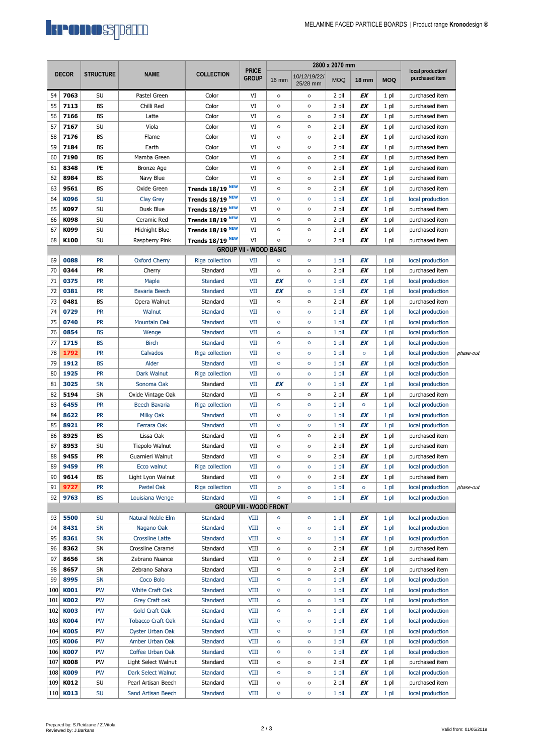

|              |             |                  |                          |                             |                                | 2800 x 2070 mm |                          |            |              |            |                                     |           |
|--------------|-------------|------------------|--------------------------|-----------------------------|--------------------------------|----------------|--------------------------|------------|--------------|------------|-------------------------------------|-----------|
| <b>DECOR</b> |             | <b>STRUCTURE</b> | <b>NAME</b>              | <b>COLLECTION</b>           | <b>PRICE</b><br>Group          | <b>16 mm</b>   | 10/12/19/22/<br>25/28 mm | <b>MOQ</b> | <b>18 mm</b> | <b>MOQ</b> | local production/<br>purchased item |           |
| 54           | 7063        | SU               | Pastel Green             | Color                       | VI                             | $\circ$        | $\circ$                  | 2 pll      | ΕX           | 1 pll      | purchased item                      |           |
| 55           | 7113        | BS               | Chilli Red               | Color                       | VI                             | $\circ$        | $\circ$                  | 2 pll      | ΕX           | 1 pll      | purchased item                      |           |
| 56           | 7166        | BS               | Latte                    | Color                       | VI                             | $\circ$        | $\circ$                  | 2 pll      | EΧ           | 1 pll      | purchased item                      |           |
| 57           | 7167        | SU               | Viola                    | Color                       | VI                             | $\circ$        | $\circ$                  | 2 pll      | ΕX           | 1 pll      | purchased item                      |           |
| 58           | 7176        | BS               | Flame                    | Color                       | VI                             | $\circ$        | $\circ$                  | 2 pll      | ΕX           | 1 pll      | purchased item                      |           |
| 59           | 7184        | BS               | Earth                    | Color                       | VI                             | $\circ$        | $\circ$                  | 2 pll      | EΧ           | 1 pll      | purchased item                      |           |
| 60           | 7190        | BS               | Mamba Green              | Color                       | VI                             | $\circ$        | $\circ$                  | 2 pll      | EΧ           | 1 pll      | purchased item                      |           |
| 61           | 8348        | PE               | <b>Bronze Age</b>        | Color                       | VI                             | $\circ$        | $\circ$                  | 2 pll      | EΧ           | 1 pll      | purchased item                      |           |
| 62           | 8984        | BS               | Navy Blue                | Color                       | VI                             | $\circ$        | $\circ$                  | 2 pll      | EΧ           | 1 pll      | purchased item                      |           |
| 63           | 9561        | BS               | Oxide Green              | Trends 18/19 <sup>NEW</sup> | VI                             | $\circ$        | $\circ$                  | 2 pll      | EX           | 1 pll      | purchased item                      |           |
| 64           | K096        | <b>SU</b>        | Clay Grey                | Trends 18/19 NEW            | VI                             | $\circ$        | $\circ$                  | 1 pll      | EX           | $1$ pll    | local production                    |           |
| 65           | K097        | SU               | Dusk Blue                | Trends 18/19 NEW            | VI                             | $\circ$        | $\circ$                  | 2 pll      | EX           | 1 pll      | purchased item                      |           |
| 66           | K098        | SU               | Ceramic Red              | Trends 18/19 <sup>NEW</sup> | VI                             | $\circ$        | $\circ$                  | 2 pll      | EΧ           | 1 pll      | purchased item                      |           |
| 67           | K099        | SU               | Midnight Blue            | Trends 18/19 <sup>NEW</sup> | VI                             | $\circ$        | $\circ$                  | 2 pll      | EX           | 1 pll      | purchased item                      |           |
| 68           | K100        | SU               | Raspberry Pink           | Trends 18/19 <sup>NEW</sup> | VI                             | $\circ$        | $\circ$                  | 2 pll      | ΕX           | 1 pll      | purchased item                      |           |
|              |             |                  |                          |                             | <b>GROUP VII - WOOD BASIC</b>  |                |                          |            |              |            |                                     |           |
| 69           | 0088        | <b>PR</b>        | <b>Oxford Cherry</b>     | Riga collection             | VII                            | $\circ$        | $\circ$                  | 1 pll      | EX           | $1$ pll    | local production                    |           |
| 70           | 0344        | PR               | Cherry                   | Standard                    | VII                            | $\circ$        | $\circ$                  | 2 pll      | EΧ           | 1 pll      | purchased item                      |           |
| 71           | 0375        | <b>PR</b>        | Maple                    | Standard                    | VII                            | EX             | $\circ$                  | $1$ pll    | EX           | $1$ pll    | local production                    |           |
| 72           | 0381        | <b>PR</b>        | Bavaria Beech            | Standard                    | VII                            | EX             | $\circ$                  | $1$ pll    | EX           | 1 pll      | local production                    |           |
| 73           | 0481        | BS               | Opera Walnut             | Standard                    | VII                            | $\circ$        | $\circ$                  | 2 pll      | EΧ           | 1 pll      | purchased item                      |           |
| 74           | 0729        | <b>PR</b>        | Walnut                   | <b>Standard</b>             | VII                            | $\circ$        | $\circ$                  | $1$ pll    | EX           | $1$ pll    | local production                    |           |
| 75           | 0740        | <b>PR</b>        | Mountain Oak             | Standard                    | VII                            | $\circ$        | $\circ$                  | $1$ pll    | EX           | $1$ pll    | local production                    |           |
| 76           | 0854        | <b>BS</b>        | Wenge                    | <b>Standard</b>             | VII                            | $\circ$        | $\circ$                  | 1 pll      | EX           | 1 pll      | local production                    |           |
| 77           | 1715        | <b>BS</b>        | <b>Birch</b>             | <b>Standard</b>             | VII                            | $\circ$        | $\circ$                  | 1 pll      | EX           | 1 pll      | local production                    |           |
| 78           | 1792        | <b>PR</b>        | Calvados                 | Riga collection             | VII                            | $\circ$        | $\circ$                  | 1 pll      | $\circ$      | 1 pll      | local production                    | phase-out |
| 79           | 1912        | <b>BS</b>        | Alder                    | <b>Standard</b>             | VII                            | $\circ$        | $\circ$                  | 1 pll      | EX           | 1 pll      | local production                    |           |
| 80           | 1925        | <b>PR</b>        | Dark Walnut              | Riga collection             | VII                            | $\circ$        | $\circ$                  | 1 pll      | EX           | 1 pll      | local production                    |           |
| 81           | 3025        | SN               | Sonoma Oak               | Standard                    | VII                            | EX             | $\circ$                  | $1$ pll    | EX           | 1 pll      | local production                    |           |
| 82           | 5194        | SN               | Oxide Vintage Oak        | Standard                    | VII                            | $\circ$        | $\circ$                  | 2 pll      | EΧ           | $1$ pll    | purchased item                      |           |
| 83           | 6455        | <b>PR</b>        | <b>Beech Bavaria</b>     | Riga collection             | VII                            | $\circ$        | $\circ$                  | 1 pll      | $\circ$      | $1$ pll    | local production                    |           |
| 84           | 8622        | <b>PR</b>        | Milky Oak                | <b>Standard</b>             | VII                            | $\circ$        | $\circ$                  | $1$ pll    | EX           | 1 pll      | local production                    |           |
| 85           | 8921        | <b>PR</b>        | Ferrara Oak              | Standard                    | VII                            | $\circ$        | $\circ$                  | $1$ pll    | EX           | $1$ pll    | local production                    |           |
| 86           | 8925        | BS               | Lissa Oak                | Standard                    | VII                            | $\circ$        | $\circ$                  | 2 pll      | EΧ           | 1 pll      | purchased item                      |           |
| 87           | 8953        | SU               | Tiepolo Walnut           | Standard                    | VII                            | $\circ$        | $\circ$                  | 2 pll      | EX           | 1 pll      | purchased item                      |           |
| 88           | 9455        | PR               | Guarnieri Walnut         | Standard                    | VII                            | $\circ$        | $\circ$                  | 2 pll      | EX           | 1 pll      | purchased item                      |           |
| 89           | 9459        | PR               | Ecco walnut              | Riga collection             | VII                            | $\circ$        | $\circ$                  | 1 pll      | EΧ           | 1 pll      | local production                    |           |
| 90           | 9614        | BS               | Light Lyon Walnut        | Standard                    | VII                            | $\circ$        | $\circ$                  | 2 pll      | ΕX           | 1 pll      | purchased item                      |           |
| 91           | 9727        | PR               | Pastel Oak               | Riga collection             | VII                            | $\circ$        | $\circ$                  | 1 pll      | $\circ$      | 1 pll      | local production                    | phase-out |
| 92           | 9763        | BS               | Louisiana Wenge          | <b>Standard</b>             | VII                            | $\circ$        | $\circ$                  | $1$ pll    | EΧ           | $1$ pll    | local production                    |           |
|              |             |                  |                          |                             | <b>GROUP VIII - WOOD FRONT</b> |                |                          |            |              |            |                                     |           |
| 93           | 5500        | SU               | Natural Noble Elm        | Standard                    | <b>VIII</b>                    | $\circ$        | $\circ$                  | 1 pll      | EX           | 1 pll      | local production                    |           |
| 94           | 8431        | SN               | Nagano Oak               | <b>Standard</b>             | <b>VIII</b>                    | $\circ$        | $\circ$                  | 1 pll      | ΕX           | 1 pll      | local production                    |           |
| 95           | 8361        | <b>SN</b>        | <b>Crossline Latte</b>   | <b>Standard</b>             | VIII                           | $\circ$        | $\circ$                  | 1 pll      | EΧ           | $1$ pll    | local production                    |           |
| 96           | 8362        | SN               | Crossline Caramel        | Standard                    | VIII                           | $\circ$        | $\circ$                  | 2 pll      | EΧ           | 1 pll      | purchased item                      |           |
| 97           | 8656        | SN               | Zebrano Nuance           | Standard                    | VIII                           | o              | o                        | 2 pll      | EΧ           | 1 pll      | purchased item                      |           |
| 98           | 8657        | SN               | Zebrano Sahara           | Standard                    | VIII                           | $\circ$        | $\circ$                  | 2 pll      | EΧ           | 1 pll      | purchased item                      |           |
| 99           | 8995        | <b>SN</b>        | Coco Bolo                | <b>Standard</b>             | VIII                           | $\circ$        | $\circ$                  | 1 pll      | EX           | 1 pll      | local production                    |           |
| 100          | <b>K001</b> | PW               | White Craft Oak          | <b>Standard</b>             | <b>VIII</b>                    | $\circ$        | $\circ$                  | 1 pll      | EΧ           | 1 pll      | local production                    |           |
| 101          | <b>K002</b> | <b>PW</b>        | Grey Craft oak           | <b>Standard</b>             | VIII                           | $\circ$        | $\circ$                  | 1 pll      | EΧ           | 1 pll      | local production                    |           |
| 102          | <b>K003</b> | <b>PW</b>        | <b>Gold Craft Oak</b>    | <b>Standard</b>             | VIII                           | $\circ$        | $\circ$                  | 1 pll      | EΧ           | 1 pll      | local production                    |           |
| 103          | <b>K004</b> | PW               | <b>Tobacco Craft Oak</b> | <b>Standard</b>             | VIII                           | $\circ$        | $\circ$                  | 1 pll      | EΧ           | 1 pll      | local production                    |           |
| 104          | <b>K005</b> | <b>PW</b>        | <b>Oyster Urban Oak</b>  | <b>Standard</b>             | VIII                           | $\circ$        | $\circ$                  | 1 pll      | EΧ           | 1 pll      | local production                    |           |
| 105          | <b>K006</b> | <b>PW</b>        | Amber Urban Oak          | <b>Standard</b>             | <b>VIII</b>                    | $\circ$        | $\circ$                  | 1 pll      | EΧ           | 1 pll      | local production                    |           |
| 106          | <b>K007</b> | PW               | Coffee Urban Oak         | <b>Standard</b>             | <b>VIII</b>                    | $\circ$        | $\circ$                  | 1 pll      | ΕX           | 1 pll      | local production                    |           |
| 107          | <b>K008</b> | PW               | Light Select Walnut      | Standard                    | VIII                           | $\circ$        | $\circ$                  | 2 pll      | EΧ           | 1 pll      | purchased item                      |           |
| 108          | K009        | PW               | Dark Select Walnut       | <b>Standard</b>             | VIII                           | $\circ$        | $\circ$                  | 1 pll      | EΧ           | 1 pll      | local production                    |           |
| 109          | K012        | SU               | Pearl Artisan Beech      | Standard                    | VIII                           | $\circ$        | $\circ$                  | 2 pll      | EΧ           | 1 pll      | purchased item                      |           |
|              | 110 K013    | SU               | Sand Artisan Beech       | Standard                    | <b>VIII</b>                    | $\circ$        | $\circ$                  | $1$ pll    | EΧ           | $1$ pll    | local production                    |           |